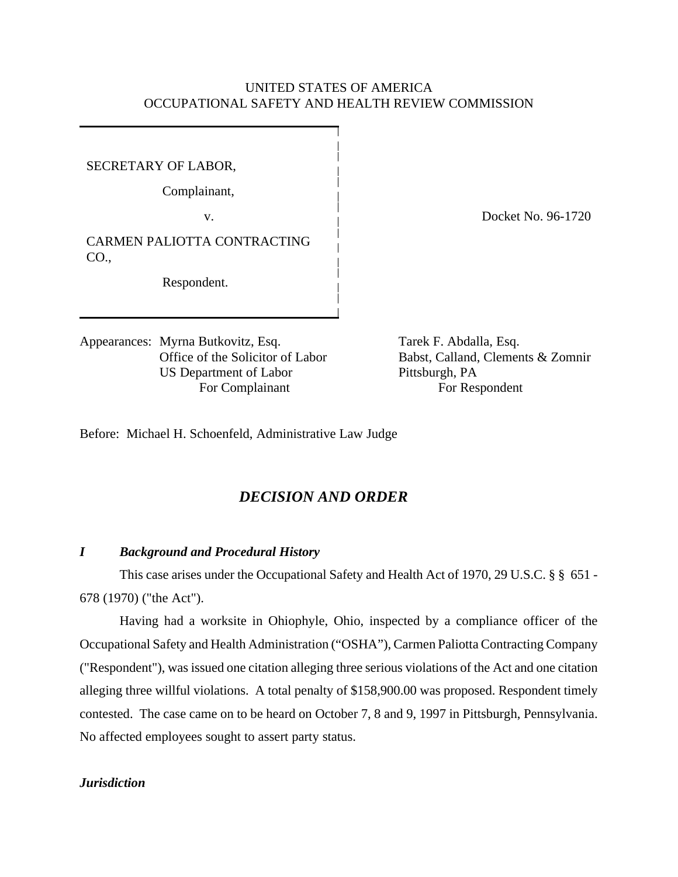## UNITED STATES OF AMERICA OCCUPATIONAL SAFETY AND HEALTH REVIEW COMMISSION

SECRETARY OF LABOR,

Complainant,

CARMEN PALIOTTA CONTRACTING CO.,

Respondent.

Appearances: Myrna Butkovitz, Esq. Tarek F. Abdalla, Esq. US Department of Labor Pittsburgh, PA For Complainant For Respondent

v. Docket No. 96-1720

Office of the Solicitor of Labor Babst, Calland, Clements & Zomnir

Before: Michael H. Schoenfeld, Administrative Law Judge

# *DECISION AND ORDER*

#### *I Background and Procedural History*

This case arises under the Occupational Safety and Health Act of 1970, 29 U.S.C. § § 651 - 678 (1970) ("the Act").

Having had a worksite in Ohiophyle, Ohio, inspected by a compliance officer of the Occupational Safety and Health Administration ("OSHA"), Carmen Paliotta Contracting Company ("Respondent"), was issued one citation alleging three serious violations of the Act and one citation alleging three willful violations. A total penalty of \$158,900.00 was proposed. Respondent timely contested. The case came on to be heard on October 7, 8 and 9, 1997 in Pittsburgh, Pennsylvania. No affected employees sought to assert party status.

## *Jurisdiction*